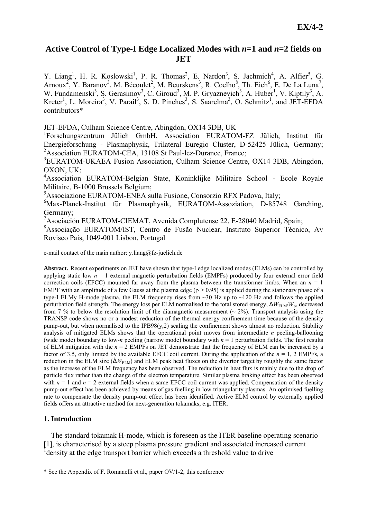# **Active Control of Type-I Edge Localized Modes with** *n***=1 and** *n***=2 fields on JET**

Y. Liang<sup>1</sup>, H. R. Koslowski<sup>1</sup>, P. R. Thomas<sup>2</sup>, E. Nardon<sup>3</sup>, S. Jachmich<sup>4</sup>, A. Alfier<sup>5</sup>, G. Arnoux<sup>2</sup>, Y. Baranov<sup>3</sup>, M. Bécoulet<sup>2</sup>, M. Beurskens<sup>3</sup>, R. Coelho<sup>8</sup>, Th. Eich<sup>6</sup>, E. De La Luna<sup>7</sup>, W. Fundamenski<sup>3</sup>, S. Gerasimov<sup>3</sup>, C. Giroud<sup>3</sup>, M. P. Gryaznevich<sup>3</sup>, A. Huber<sup>1</sup>, V. Kiptily<sup>3</sup>, A. Kreter<sup>1</sup>, L. Moreira<sup>3</sup>, V. Parail<sup>3</sup>, S. D. Pinches<sup>3</sup>, S. Saarelma<sup>3</sup>, O. Schmitz<sup>1</sup>, and JET-EFDA contributors\*

JET-EFDA, Culham Science Centre, Abingdon, OX14 3DB, UK

1 Forschungszentrum Jülich GmbH, Association EURATOM-FZ Jülich, Institut für Energieforschung - Plasmaphysik, Trilateral Euregio Cluster, D-52425 Jülich, Germany; <sup>2</sup>Association EURATOM-CEA, 13108 St Paul-lez-Durance, France;

3 EURATOM-UKAEA Fusion Association, Culham Science Centre, OX14 3DB, Abingdon, OXON, UK;

<sup>4</sup>Association EURATOM-Belgian State, Koninklijke Militaire School - Ecole Royale Militaire, B-1000 Brussels Belgium;

5 Associazione EURATOM-ENEA sulla Fusione, Consorzio RFX Padova, Italy;

6 Max-Planck-Institut für Plasmaphysik, EURATOM-Assoziation, D-85748 Garching, Germany;

7 Asociación EURATOM-CIEMAT, Avenida Complutense 22, E-28040 Madrid, Spain;

8 Associação EURATOM/IST, Centro de Fusão Nuclear, Instituto Superior Técnico, Av Rovisco Pais, 1049-001 Lisbon, Portugal

e-mail contact of the main author: y.liang@fz-juelich.de

**Abstract.** Recent experiments on JET have shown that type-I edge localized modes (ELMs) can be controlled by applying static low *n* = 1 external magnetic perturbation fields (EMPFs) produced by four external error field correction coils (EFCC) mounted far away from the plasma between the transformer limbs. When an  $n = 1$ EMPF with an amplitude of a few Gauss at the plasma edge ( $\rho > 0.95$ ) is applied during the stationary phase of a type-I ELMy H-mode plasma, the ELM frequency rises from ~30 Hz up to ~120 Hz and follows the applied perturbation field strength. The energy loss per ELM normalised to the total stored energy,  $\Delta W_{\text{ELM}}/W_p$ , decreased from 7 % to below the resolution limit of the diamagnetic measurement ( $\sim$  2%). Transport analysis using the TRANSP code shows no or a modest reduction of the thermal energy confinement time because of the density pump-out, but when normalised to the IPB98(y,2) scaling the confinement shows almost no reduction. Stability analysis of mitigated ELMs shows that the operational point moves from intermediate *n* peeling-ballooning (wide mode) boundary to low-*n* peeling (narrow mode) boundary with  $n = 1$  perturbation fields. The first results of ELM mitigation with the  $n = 2$  EMPFs on JET demonstrate that the frequency of ELM can be increased by a factor of 3.5, only limited by the available EFCC coil current. During the application of the  $n = 1$ , 2 EMPFs, a reduction in the ELM size ( $\Delta W_{\text{EM}}$ ) and ELM peak heat fluxes on the divertor target by roughly the same factor as the increase of the ELM frequency has been observed. The reduction in heat flux is mainly due to the drop of particle flux rather than the change of the electron temperature. Similar plasma braking effect has been observed with  $n = 1$  and  $n = 2$  external fields when a same EFCC coil current was applied. Compensation of the density pump-out effect has been achieved by means of gas fuelling in low triangularity plasmas. An optimised fuelling rate to compensate the density pump-out effect has been identified. Active ELM control by externally applied fields offers an attractive method for next-generation tokamaks, e.g. ITER.

### **1. Introduction**

1

 The standard tokamak H-mode, which is foreseen as the ITER baseline operating scenario [1], is characterised by a steep plasma pressure gradient and associated increased current <sup>1</sup> density at the edge transport barrier which exceeds a threshold value to drive

<sup>\*</sup> See the Appendix of F. Romanelli et al., paper OV/1-2, this conference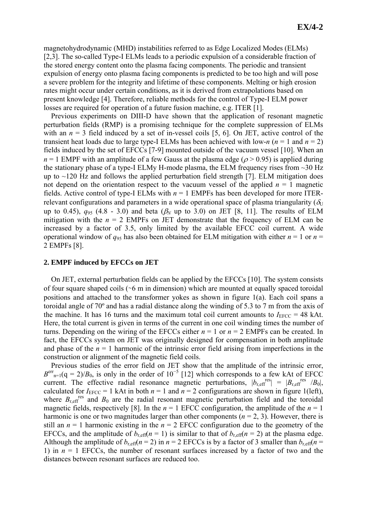magnetohydrodynamic (MHD) instabilities referred to as Edge Localized Modes (ELMs) [2,3]. The so-called Type-I ELMs leads to a periodic expulsion of a considerable fraction of the stored energy content onto the plasma facing components. The periodic and transient expulsion of energy onto plasma facing components is predicted to be too high and will pose a severe problem for the integrity and lifetime of these components. Melting or high erosion rates might occur under certain conditions, as it is derived from extrapolations based on present knowledge [4]. Therefore, reliable methods for the control of Type-I ELM power losses are required for operation of a future fusion machine, e.g. ITER [1].

Previous experiments on DIII-D have shown that the application of resonant magnetic perturbation fields (RMP) is a promising technique for the complete suppression of ELMs with an  $n = 3$  field induced by a set of in-vessel coils [5, 6]. On JET, active control of the transient heat loads due to large type-I ELMs has been achieved with low- $n (n = 1$  and  $n = 2)$ fields induced by the set of EFCCs [7-9] mounted outside of the vacuum vessel [10]. When an  $n = 1$  EMPF with an amplitude of a few Gauss at the plasma edge ( $\rho > 0.95$ ) is applied during the stationary phase of a type-I ELMy H-mode plasma, the ELM frequency rises from  $\sim$ 30 Hz up to  $\sim$ 120 Hz and follows the applied perturbation field strength [7]. ELM mitigation does not depend on the orientation respect to the vacuum vessel of the applied  $n = 1$  magnetic fields. Active control of type-I ELMs with  $n = 1$  EMPFs has been developed for more ITERrelevant configurations and parameters in a wide operational space of plasma triangularity ( $\delta_{\text{U}}$ up to 0.45),  $q_{95}$  (4.8 - 3.0) and beta ( $\beta_N$  up to 3.0) on JET [8, 11]. The results of ELM mitigation with the  $n = 2$  EMPFs on JET demonstrate that the frequency of ELM can be increased by a factor of 3.5, only limited by the available EFCC coil current. A wide operational window of  $q_{95}$  has also been obtained for ELM mitigation with either  $n = 1$  or  $n =$ 2 EMPFs [8].

## **2. EMPF induced by EFCCs on JET**

 On JET, external perturbation fields can be applied by the EFCCs [10]. The system consists of four square shaped coils (∼6 m in dimension) which are mounted at equally spaced toroidal positions and attached to the transformer yokes as shown in figure 1(a). Each coil spans a toroidal angle of 70º and has a radial distance along the winding of 5.3 to 7 m from the axis of the machine. It has 16 turns and the maximum total coil current amounts to  $I_{\text{EFCC}} = 48$  kAt. Here, the total current is given in terms of the current in one coil winding times the number of turns. Depending on the wiring of the EFCCs either  $n = 1$  or  $n = 2$  EMPFs can be created. In fact, the EFCCs system on JET was originally designed for compensation in both amplitude and phase of the  $n = 1$  harmonic of the intrinsic error field arising from imperfections in the construction or alignment of the magnetic field coils.

Previous studies of the error field on JET show that the amplitude of the intrinsic error,  $B^{\text{err}}_{n=1}(q=2)/B_0$ , is only in the order of 10<sup>-5</sup> [12] which corresponds to a few kAt of EFCC current. The effective radial resonance magnetic perturbations,  $|b_{\text{ref}}| = |B_{\text{ref}}|^{res}$  /*B*<sub>0</sub>|, calculated for  $I_{\text{EFCC}} = 1$  kAt in both  $n = 1$  and  $n = 2$  configurations are shown in figure 1(left), where  $B_{r,eff}$ <sup>res</sup> and  $B_0$  are the radial resonant magnetic perturbation field and the toroidal magnetic fields, respectively [8]. In the  $n = 1$  EFCC configuration, the amplitude of the  $n = 1$ harmonic is one or two magnitudes larger than other components  $(n = 2, 3)$ . However, there is still an  $n = 1$  harmonic existing in the  $n = 2$  EFCC configuration due to the geometry of the EFCCs, and the amplitude of  $b_{r,\text{eff}}(n=1)$  is similar to that of  $b_{r,\text{eff}}(n=2)$  at the plasma edge. Although the amplitude of  $b_{\text{reff}}(n=2)$  in  $n=2$  EFCCs is by a factor of 3 smaller than  $b_{\text{reff}}(n=2)$ 1) in  $n = 1$  EFCCs, the number of resonant surfaces increased by a factor of two and the distances between resonant surfaces are reduced too.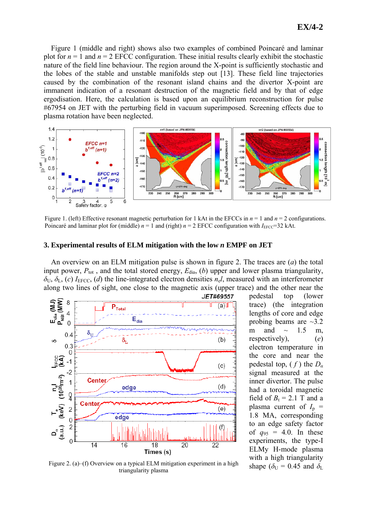Figure 1 (middle and right) shows also two examples of combined Poincaré and laminar plot for  $n = 1$  and  $n = 2$  EFCC configuration. These initial results clearly exhibit the stochastic nature of the field line behaviour. The region around the X-point is sufficiently stochastic and the lobes of the stable and unstable manifolds step out [13]. These field line trajectories caused by the combination of the resonant island chains and the divertor X-point are immanent indication of a resonant destruction of the magnetic field and by that of edge ergodisation. Here, the calculation is based upon an equilibrium reconstruction for pulse #67954 on JET with the perturbing field in vacuum superimposed. Screening effects due to plasma rotation have been neglected.



Figure 1. (left) Effective resonant magnetic perturbation for 1 kAt in the EFCCs in *n* = 1 and *n* = 2 configurations. Poincaré and laminar plot for (middle)  $n = 1$  and (right)  $n = 2$  EFCC configuration with  $I_{\text{EFCC}} = 32$  kAt.

#### **3. Experimental results of ELM mitigation with the low** *n* **EMPF on JET**

 An overview on an ELM mitigation pulse is shown in figure 2. The traces are (*a*) the total input power,  $P_{\text{tot}}$ , and the total stored energy,  $E_{\text{dia}}$ , (*b*) upper and lower plasma triangularity,  $\delta$ <sub>U</sub>,  $\delta$ <sub>L</sub>, (*c*) *I*<sub>EFCC</sub>, (*d*) the line-integrated electron densities *n*<sub>e</sub>*l*, measured with an interferometer along two lines of sight, one close to the magnetic axis (upper trace) and the other near the



pedestal top (lower trace) (the integration lengths of core and edge probing beams are ~3*.*2 m and  $\sim$  1.5 m, respectively), (*e*) electron temperature in the core and near the pedestal top, ( *f* ) the *D<sup>α</sup>* signal measured at the inner divertor. The pulse had a toroidal magnetic field of  $B_t = 2.1$  T and a plasma current of  $I_p$  = 1*.*8 MA, corresponding to an edge safety factor of  $q_{95} = 4.0$ . In these experiments, the type-I ELMy H-mode plasma with a high triangularity shape ( $\delta_{\text{U}}$  = 0.45 and  $\delta_{\text{L}}$ 

Figure 2. (a)–(f) Overview on a typical ELM mitigation experiment in a high triangularity plasma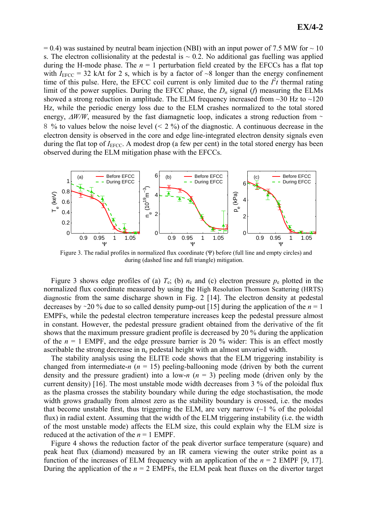$= 0.4$ ) was sustained by neutral beam injection (NBI) with an input power of 7.5 MW for  $\sim 10$ s. The electron collisionality at the pedestal is  $\sim 0.2$ . No additional gas fuelling was applied during the H-mode phase. The  $n = 1$  perturbation field created by the EFCCs has a flat top with  $I_{\text{EFCC}} = 32$  kAt for 2 s, which is by a factor of  $\sim 8$  longer than the energy confinement time of this pulse. Here, the EFCC coil current is only limited due to the  $I<sup>2</sup>t$  thermal rating limit of the power supplies. During the EFCC phase, the  $D_{\alpha}$  signal (*f*) measuring the ELMs showed a strong reduction in amplitude. The ELM frequency increased from  $\sim$  30 Hz to  $\sim$  120 Hz, while the periodic energy loss due to the ELM crashes normalized to the total stored energy,  $\Delta$ *W/W*, measured by the fast diamagnetic loop, indicates a strong reduction from ∼ 8 % to values below the noise level (*<* 2 %) of the diagnostic. A continuous decrease in the electron density is observed in the core and edge line-integrated electron density signals even during the flat top of  $I_{\text{EFCC}}$ . A modest drop (a few per cent) in the total stored energy has been observed during the ELM mitigation phase with the EFCCs.



 Figure 3. The radial profiles in normalized flux coordinate (Ψ) before (full line and empty circles) and during (dashed line and full triangle) mitigation.

Figure 3 shows edge profiles of (a)  $T_e$ ; (b)  $n_e$  and (c) electron pressure  $p_e$  plotted in the normalized flux coordinate measured by using the High Resolution Thomson Scattering (HRTS) diagnostic from the same discharge shown in Fig. 2 [14]. The electron density at pedestal decreases by ∼20 % due to so called density pump-out [15] during the application of the *n* = 1 EMPFs, while the pedestal electron temperature increases keep the pedestal pressure almost in constant. However, the pedestal pressure gradient obtained from the derivative of the fit shows that the maximum pressure gradient profile is decreased by 20 % during the application of the  $n = 1$  EMPF, and the edge pressure barrier is 20 % wider: This is an effect mostly ascribable the strong decrease in n<sub>e</sub> pedestal height with an almost unvaried width.

The stability analysis using the ELITE code shows that the ELM triggering instability is changed from intermediate-*n* ( $n = 15$ ) peeling-ballooning mode (driven by both the current density and the pressure gradient) into a low- $n$  ( $n = 3$ ) peeling mode (driven only by the current density) [16]. The most unstable mode width decreases from 3 % of the poloidal flux as the plasma crosses the stability boundary while during the edge stochastisation, the mode width grows gradually from almost zero as the stability boundary is crossed, i.e. the modes that become unstable first, thus triggering the ELM, are very narrow  $\left(\sim\right]$  % of the poloidal flux) in radial extent. Assuming that the width of the ELM triggering instability (i.e. the width of the most unstable mode) affects the ELM size, this could explain why the ELM size is reduced at the activation of the *n* = 1 EMPF.

Figure 4 shows the reduction factor of the peak divertor surface temperature (square) and peak heat flux (diamond) measured by an IR camera viewing the outer strike point as a function of the increases of ELM frequency with an application of the  $n = 2$  EMPF [9, 17]. During the application of the  $n = 2$  EMPFs, the ELM peak heat fluxes on the divertor target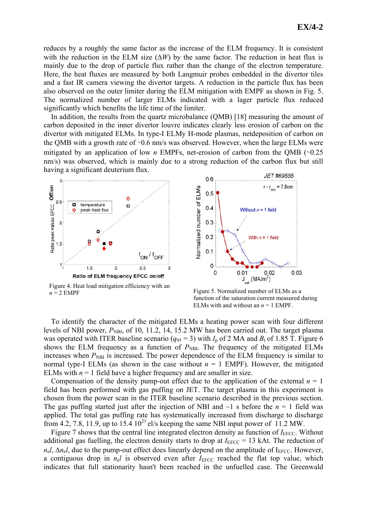reduces by a roughly the same factor as the increase of the ELM frequency. It is consistent with the reduction in the ELM size  $(\Delta W)$  by the same factor. The reduction in heat flux is mainly due to the drop of particle flux rather than the change of the electron temperature. Here, the heat fluxes are measured by both Langmuir probes embedded in the divertor tiles and a fast IR camera viewing the divertor targets. A reduction in the particle flux has been also observed on the outer limiter during the ELM mitigation with EMPF as shown in Fig. 5. The normalized number of larger ELMs indicated with a lager particle flux reduced significantly which benefits the life time of the limiter.

 In addition, the results from the quartz microbalance (QMB) [18] measuring the amount of carbon deposited in the inner divertor louvre indicates clearly less erosion of carbon on the divertor with mitigated ELMs. In type-I ELMy H-mode plasmas, netdeposition of carbon on the QMB with a growth rate of ∼0.6 nm/s was observed. However, when the large ELMs were mitigated by an application of low *n* EMPFs, net-erosion of carbon from the QMB (∼0.25 nm/s) was observed, which is mainly due to a strong reduction of the carbon flux but still having a significant deuterium flux.



Figure 4. Heat load mitigation efficiency with an  $n = 2$  EMPF



Figure 5. Normalized number of ELMs as a function of the saturation current measured during ELMs with and without an  $n = 1$  EMPF.

To identify the character of the mitigated ELMs a heating power scan with four different levels of NBI power,  $P_{\text{NBI}}$ , of 10, 11.2, 14, 15.2 MW has been carried out. The target plasma was operated with ITER baseline scenario ( $q_{95} = 3$ ) with  $I_p$  of 2 MA and  $B_t$  of 1.85 T. Figure 6 shows the ELM frequency as a function of  $P_{\text{NBI}}$ . The frequency of the mitigated ELMs increases when  $P_{\text{NH}}$  is increased. The power dependence of the ELM frequency is similar to normal type-I ELMs (as shown in the case without  $n = 1$  EMPF). However, the mitigated ELMs with  $n = 1$  field have a higher frequency and are smaller in size.

Compensation of the density pump-out effect due to the application of the external  $n = 1$ field has been performed with gas puffing on JET. The target plasma in this experiment is chosen from the power scan in the ITER baseline scenario described in the previous section. The gas puffing started just after the injection of NBI and  $\sim$ 1 s before the  $n = 1$  field was applied. The total gas puffing rate has systematically increased from discharge to discharge from 4.2, 7.8, 11.9, up to 15.4  $10^{21}$  el/s keeping the same NBI input power of 11.2 MW.

Figure 7 shows that the central line integrated electron density as function of *I*<sub>EFCC</sub>. Without additional gas fuelling, the electron density starts to drop at  $I_{\text{EFCC}} = 13$  kAt. The reduction of  $n_{\rm e}l$ ,  $\Delta n_{\rm e}l$ , due to the pump-out effect does linearly depend on the amplitude of I<sub>EFCC</sub>. However, a contiguous drop in  $n_e l$  is observed even after  $I_{\text{EFCC}}$  reached the flat top value, which indicates that full stationarity hasn't been reached in the unfuelled case. The Greenwald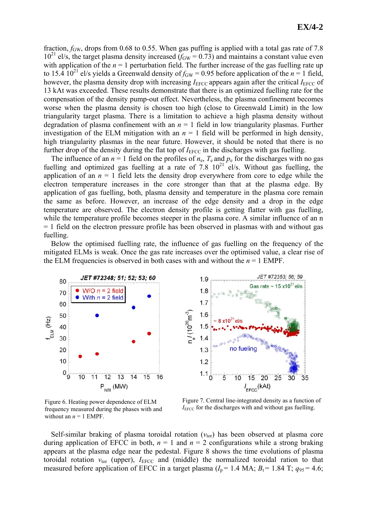fraction,  $f_{GW}$ , drops from 0.68 to 0.55. When gas puffing is applied with a total gas rate of 7.8  $10^{21}$  el/s, the target plasma density increased ( $f_{GW} = 0.73$ ) and maintains a constant value even with application of the  $n = 1$  perturbation field. The further increase of the gas fuelling rate up to 15.4 10<sup>21</sup> el/s yields a Greenwald density of  $f_{GW} = 0.95$  before application of the  $n = 1$  field, however, the plasma density drop with increasing *I*<sub>EFCC</sub> appears again after the critical *I*<sub>EFCC</sub> of 13 kAt was exceeded. These results demonstrate that there is an optimized fuelling rate for the compensation of the density pump-out effect. Nevertheless, the plasma confinement becomes worse when the plasma density is chosen too high (close to Greenwald Limit) in the low triangularity target plasma. There is a limitation to achieve a high plasma density without degradation of plasma confinement with an  $n = 1$  field in low triangularity plasmas. Further investigation of the ELM mitigation with an  $n = 1$  field will be performed in high density, high triangularity plasmas in the near future. However, it should be noted that there is no further drop of the density during the flat top of *I*<sub>EFCC</sub> in the discharges with gas fuelling.

The influence of an  $n = 1$  field on the profiles of  $n_e$ ,  $T_e$  and  $p_e$  for the discharges with no gas fuelling and optimized gas fuelling at a rate of 7.8  $10^{21}$  el/s. Without gas fuelling, the application of an  $n = 1$  field lets the density drop everywhere from core to edge while the electron temperature increases in the core stronger than that at the plasma edge. By application of gas fuelling, both, plasma density and temperature in the plasma core remain the same as before. However, an increase of the edge density and a drop in the edge temperature are observed. The electron density profile is getting flatter with gas fuelling, while the temperature profile becomes steeper in the plasma core. A similar influence of an n  $= 1$  field on the electron pressure profile has been observed in plasmas with and without gas fuelling.

Below the optimised fuelling rate, the influence of gas fuelling on the frequency of the mitigated ELMs is weak. Once the gas rate increases over the optimised value, a clear rise of the ELM frequencies is observed in both cases with and without the  $n = 1$  EMPF.





frequency measured during the phases with and without an  $n = 1$  EMPF.

Figure 7. Central line-integrated density as a function of *I*EF Figure 6. Heating power dependence of ELM Figure 7. Central line-integrated density as a function frequency measured during the phases with and *I*<sub>EFCC</sub> for the discharges with and without gas fuelling.

Self-similar braking of plasma toroidal rotation  $(v_{\text{tor}})$  has been observed at plasma core during application of EFCC in both,  $n = 1$  and  $n = 2$  configurations while a strong braking appears at the plasma edge near the pedestal. Figure 8 shows the time evolutions of plasma toroidal rotation  $v_{\text{tor}}$  (upper),  $I_{\text{EFCC}}$  and (middle) the normalized toroidal ration to that measured before application of EFCC in a target plasma  $(I_p = 1.4 \text{ MA}; B_t = 1.84 \text{ T}; q_{95} = 4.6;$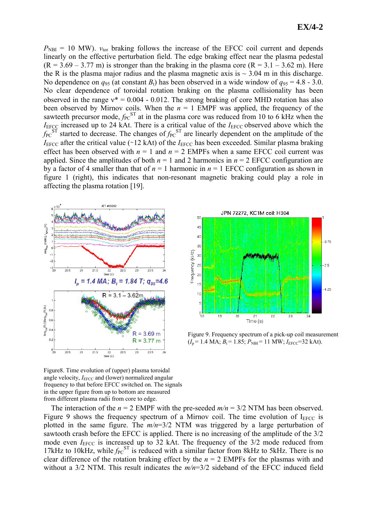$P_{\text{NBI}} = 10$  MW).  $v_{\text{tor}}$  braking follows the increase of the EFCC coil current and depends linearly on the effective perturbation field. The edge braking effect near the plasma pedestal  $(R = 3.69 - 3.77$  m) is stronger than the braking in the plasma core  $(R = 3.1 - 3.62$  m). Here the R is the plasma major radius and the plasma magnetic axis is  $\sim$  3.04 m in this discharge. No dependence on  $q_{95}$  (at constant  $B_t$ ) has been observed in a wide window of  $q_{95} = 4.8 - 3.0$ . No clear dependence of toroidal rotation braking on the plasma collisionality has been observed in the range  $v^* = 0.004 - 0.012$ . The strong braking of core MHD rotation has also been observed by Mirnov coils. When the  $n = 1$  EMPF was applied, the frequency of the sawteeth precursor mode,  $f_{PC}^{ST}$  at in the plasma core was reduced from 10 to 6 kHz when the *I*<sub>EFCC</sub> increased up to 24 kAt. There is a critical value of the *I*<sub>EFCC</sub> observed above which the  $f_{PC}$ <sup>ST</sup> started to decrease. The changes of  $f_{PC}$ <sup>ST</sup> are linearly dependent on the amplitude of the *I*<sub>EFCC</sub> after the critical value (∼12 kAt) of the *I*<sub>EFCC</sub> has been exceeded. Similar plasma braking effect has been observed with  $n = 1$  and  $n = 2$  EMPFs when a same EFCC coil current was applied. Since the amplitudes of both  $n = 1$  and 2 harmonics in  $n = 2$  EFCC configuration are by a factor of 4 smaller than that of  $n = 1$  harmonic in  $n = 1$  EFCC configuration as shown in figure 1 (right), this indicates that non-resonant magnetic braking could play a role in affecting the plasma rotation [19].



JPN 72272, KC1M coil: H304 50 45 40  $-0.75$ 35 Frequency (KHz)  $30$  $25$  $-2.5$  $\overline{c}$  $15$  $-4.25$  $10$ اتا و<br>18  $\frac{21}{\text{Time (s)}}$  $19$  $20$  $22$  $23$  $2\ell$ 

Figure 9. Frequency spectrum of a pick-up coil measurement  $(I_p = 1.4 \text{ MA}; B_t = 1.85; P_{NBI} = 11 \text{ MW}; I_{EFCC} = 32 \text{ kAt}.$ 

Figure8. Time evolution of (upper) plasma toroidal angle velocity, *I*<sub>EFCC</sub> and (lower) normalized angular frequency to that before EFCC switched on. The signals in the upper figure from up to bottom are measured from different plasma radii from core to edge.

The interaction of the  $n = 2$  EMPF with the pre-seeded  $m/n = 3/2$  NTM has been observed. Figure 9 shows the frequency spectrum of a Mirnov coil. The time evolution of  $I_{\text{EFCC}}$  is plotted in the same figure. The *m/n*=3/2 NTM was triggered by a large perturbation of sawtooth crash before the EFCC is applied. There is no increasing of the amplitude of the 3/2 mode even *I*<sub>EFCC</sub> is increased up to 32 kAt. The frequency of the 3/2 mode reduced from 17kHz to 10kHz, while  $f_{PC}^{ST}$  is reduced with a similar factor from 8kHz to 5kHz. There is no clear difference of the rotation braking effect by the  $n = 2$  EMPFs for the plasmas with and without a 3/2 NTM. This result indicates the *m/n*=3/2 sideband of the EFCC induced field